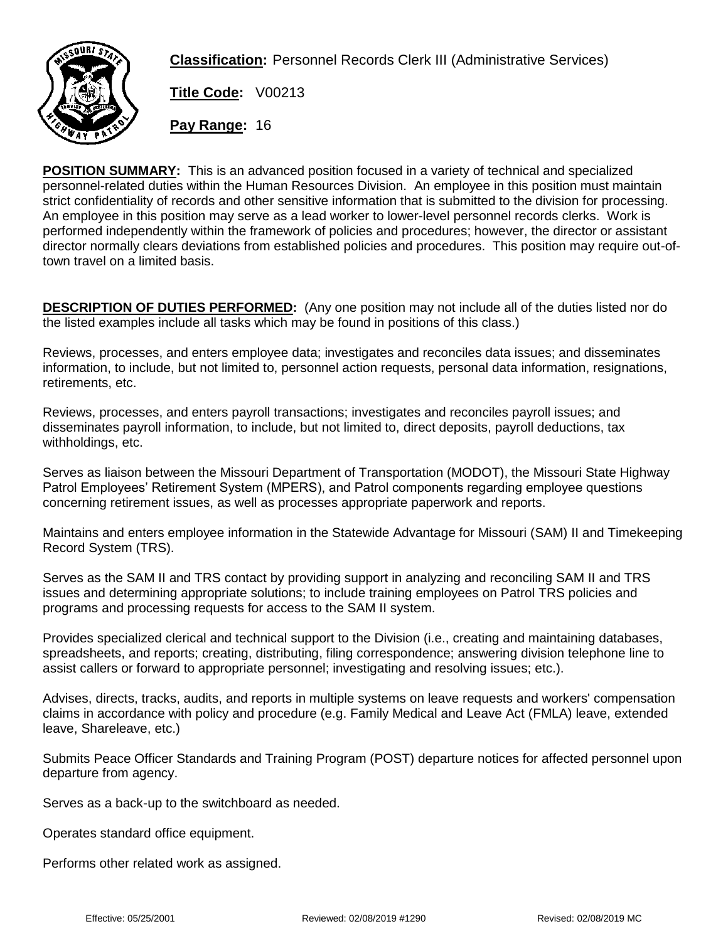

**Classification:** Personnel Records Clerk III (Administrative Services)

**Title Code:** V00213

**Pay Range:** 16

**POSITION SUMMARY:** This is an advanced position focused in a variety of technical and specialized personnel-related duties within the Human Resources Division. An employee in this position must maintain strict confidentiality of records and other sensitive information that is submitted to the division for processing. An employee in this position may serve as a lead worker to lower-level personnel records clerks. Work is performed independently within the framework of policies and procedures; however, the director or assistant director normally clears deviations from established policies and procedures. This position may require out-oftown travel on a limited basis.

**DESCRIPTION OF DUTIES PERFORMED:** (Any one position may not include all of the duties listed nor do the listed examples include all tasks which may be found in positions of this class.)

Reviews, processes, and enters employee data; investigates and reconciles data issues; and disseminates information, to include, but not limited to, personnel action requests, personal data information, resignations, retirements, etc.

Reviews, processes, and enters payroll transactions; investigates and reconciles payroll issues; and disseminates payroll information, to include, but not limited to, direct deposits, payroll deductions, tax withholdings, etc.

Serves as liaison between the Missouri Department of Transportation (MODOT), the Missouri State Highway Patrol Employees' Retirement System (MPERS), and Patrol components regarding employee questions concerning retirement issues, as well as processes appropriate paperwork and reports.

Maintains and enters employee information in the Statewide Advantage for Missouri (SAM) II and Timekeeping Record System (TRS).

Serves as the SAM II and TRS contact by providing support in analyzing and reconciling SAM II and TRS issues and determining appropriate solutions; to include training employees on Patrol TRS policies and programs and processing requests for access to the SAM II system.

Provides specialized clerical and technical support to the Division (i.e., creating and maintaining databases, spreadsheets, and reports; creating, distributing, filing correspondence; answering division telephone line to assist callers or forward to appropriate personnel; investigating and resolving issues; etc.).

Advises, directs, tracks, audits, and reports in multiple systems on leave requests and workers' compensation claims in accordance with policy and procedure (e.g. Family Medical and Leave Act (FMLA) leave, extended leave, Shareleave, etc.)

Submits Peace Officer Standards and Training Program (POST) departure notices for affected personnel upon departure from agency.

Serves as a back-up to the switchboard as needed.

Operates standard office equipment.

Performs other related work as assigned.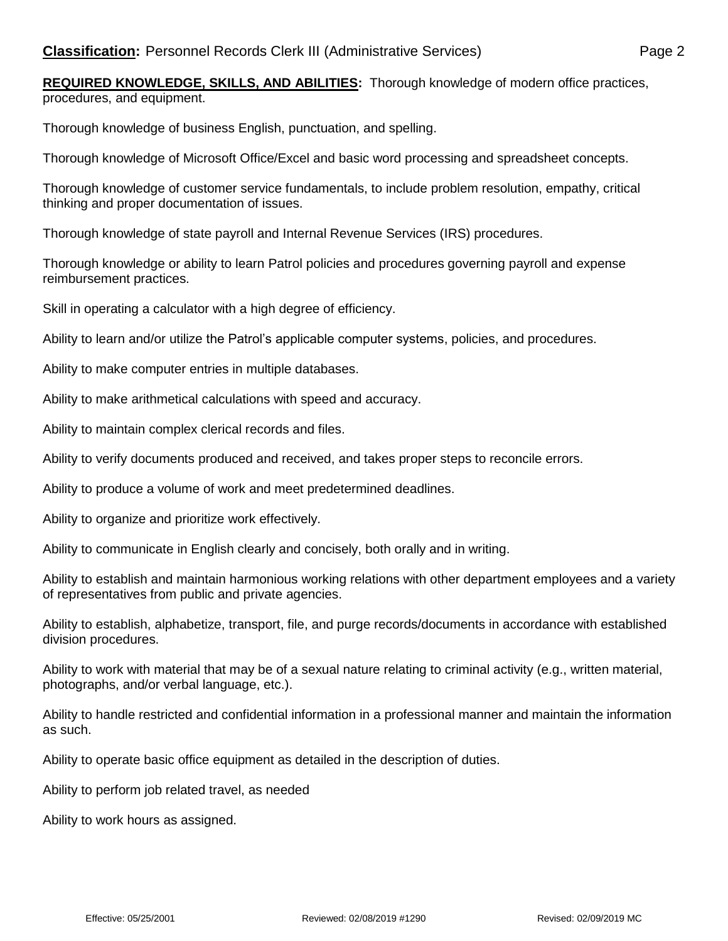**REQUIRED KNOWLEDGE, SKILLS, AND ABILITIES:** Thorough knowledge of modern office practices, procedures, and equipment.

Thorough knowledge of business English, punctuation, and spelling.

Thorough knowledge of Microsoft Office/Excel and basic word processing and spreadsheet concepts.

Thorough knowledge of customer service fundamentals, to include problem resolution, empathy, critical thinking and proper documentation of issues.

Thorough knowledge of state payroll and Internal Revenue Services (IRS) procedures.

Thorough knowledge or ability to learn Patrol policies and procedures governing payroll and expense reimbursement practices.

Skill in operating a calculator with a high degree of efficiency.

Ability to learn and/or utilize the Patrol's applicable computer systems, policies, and procedures.

Ability to make computer entries in multiple databases.

Ability to make arithmetical calculations with speed and accuracy.

Ability to maintain complex clerical records and files.

Ability to verify documents produced and received, and takes proper steps to reconcile errors.

Ability to produce a volume of work and meet predetermined deadlines.

Ability to organize and prioritize work effectively.

Ability to communicate in English clearly and concisely, both orally and in writing.

Ability to establish and maintain harmonious working relations with other department employees and a variety of representatives from public and private agencies.

Ability to establish, alphabetize, transport, file, and purge records/documents in accordance with established division procedures.

Ability to work with material that may be of a sexual nature relating to criminal activity (e.g., written material, photographs, and/or verbal language, etc.).

Ability to handle restricted and confidential information in a professional manner and maintain the information as such.

Ability to operate basic office equipment as detailed in the description of duties.

Ability to perform job related travel, as needed

Ability to work hours as assigned.